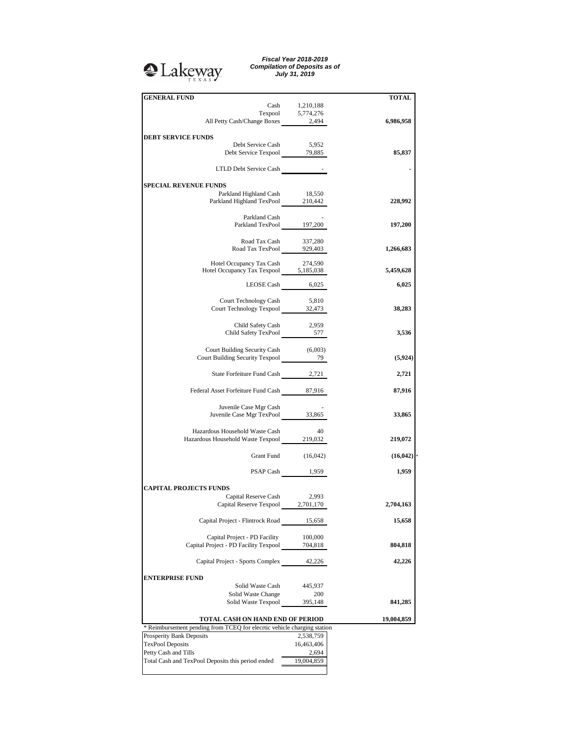## <sup>2</sup>Lakeway

*Fiscal Year 2018-2019 Compilation of Deposits as of July 31, 2019*

| <b>GENERAL FUND</b>                                                      |                     | <b>TOTAL</b> |
|--------------------------------------------------------------------------|---------------------|--------------|
|                                                                          | Cash 1,210,188      |              |
|                                                                          |                     |              |
| Texpool 5,774,276<br>All Petty Cash/Change Boxes 2,494                   |                     | 6,986,958    |
|                                                                          |                     |              |
| <b>DEBT SERVICE FUNDS</b>                                                |                     |              |
|                                                                          |                     |              |
| Debt Service Cash<br>Debt Service Texpool 79,885                         | 5,952               |              |
|                                                                          |                     | 85,837       |
|                                                                          |                     |              |
| LTLD Debt Service Cash -                                                 |                     |              |
|                                                                          |                     |              |
| <b>SPECIAL REVENUE FUNDS</b>                                             |                     |              |
| Parkland Highland Cash 18,550                                            |                     |              |
| Parkland Highland TexPool 210,442                                        |                     | 228,992      |
|                                                                          |                     |              |
| Parkland Cash                                                            |                     |              |
| Parkland TexPool 197,200                                                 |                     | 197,200      |
|                                                                          |                     |              |
| Road Tax Cash                                                            | 337,280             |              |
| Road Tax TexPool 929,403                                                 |                     | 1,266,683    |
|                                                                          |                     |              |
| Hotel Occupancy Tax Cash                                                 | 274,590             |              |
| Hotel Occupancy Tax Texpool 5,185,038                                    |                     | 5,459,628    |
|                                                                          |                     |              |
|                                                                          | LEOSE Cash 6,025    | 6,025        |
|                                                                          |                     |              |
| Court Technology Cash 5,810                                              |                     |              |
| Court Technology Texpool 32,473                                          |                     | 38,283       |
|                                                                          |                     |              |
|                                                                          |                     |              |
| Child Safety Cash<br>Child Safety Cash 2,959<br>Child Safety TexPool 577 | 2,959               |              |
|                                                                          |                     | 3,536        |
|                                                                          |                     |              |
| Court Building Security Cash (6,003)                                     |                     |              |
| Court Building Security Texpool 2021                                     |                     | (5,924)      |
|                                                                          |                     |              |
| State Forfeiture Fund Cash 2,721                                         |                     | 2,721        |
|                                                                          |                     |              |
| Federal Asset Forfeiture Fund Cash 87,916                                |                     | 87,916       |
|                                                                          |                     |              |
|                                                                          |                     |              |
| Juvenile Case Mgr Cash                                                   |                     |              |
| Juvenile Case Mgr TexPool 33,865                                         |                     | 33,865       |
|                                                                          |                     |              |
| Hazardous Household Waste Cash                                           | - 40                |              |
| Hazardous Household Waste Texpool 219,032                                |                     | 219,072      |
|                                                                          |                     |              |
|                                                                          | Grant Fund (16,042) | (16, 042)    |
|                                                                          |                     |              |
|                                                                          | PSAP Cash 1,959     | 1,959        |
|                                                                          |                     |              |
| <b>CAPITAL PROJECTS FUNDS</b>                                            |                     |              |
|                                                                          |                     |              |
| Capital Reserve Cash                                                     | 2,993               |              |
| Capital Reserve Texpool                                                  | 2,701,170           | 2,704,163    |
|                                                                          |                     |              |
| Capital Project - Flintrock Road                                         | 15,658              | 15,658       |
|                                                                          |                     |              |
| Capital Project - PD Facility                                            | 100,000             |              |
| Capital Project - PD Facility Texpool                                    | 704,818             | 804,818      |
|                                                                          |                     |              |
| Capital Project - Sports Complex                                         | 42,226              | 42,226       |
|                                                                          |                     |              |
| <b>ENTERPRISE FUND</b>                                                   |                     |              |
|                                                                          |                     |              |
| Solid Waste Cash                                                         | 445,937             |              |
| Solid Waste Change                                                       | 200                 |              |
| Solid Waste Texpool                                                      | 395,148             | 841,285      |
|                                                                          |                     |              |
| TOTAL CASH ON HAND END OF PERIOD                                         |                     | 19,004,859   |
| * Reimbursement pending from TCEQ for elecrtic vehicle charging station  |                     |              |
| Prosperity Bank Deposits                                                 | 2,538,759           |              |
| <b>TexPool Deposits</b>                                                  | 16,463,406          |              |
| Petty Cash and Tills                                                     | 2,694               |              |
| Total Cash and TexPool Deposits this period ended                        | 19,004,859          |              |
|                                                                          |                     |              |
|                                                                          |                     |              |